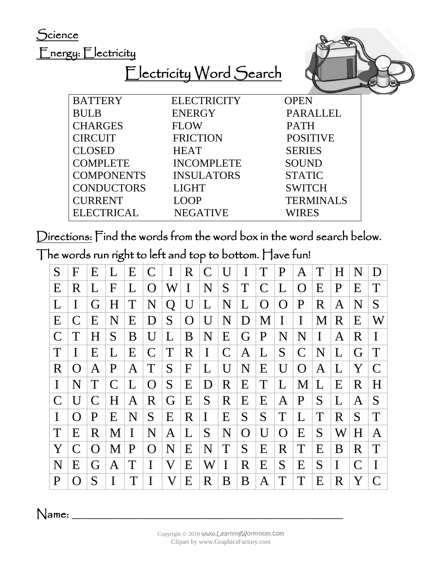Science

Energy: Electricity

Electricity Word Search



| <b>BATTERY</b>    | <b>ELECTRICITY</b> | <b>OPEN</b>      |
|-------------------|--------------------|------------------|
| <b>BULB</b>       | <b>ENERGY</b>      | <b>PARALLEL</b>  |
| <b>CHARGES</b>    | <b>FLOW</b>        | <b>PATH</b>      |
| <b>CIRCUIT</b>    | <b>FRICTION</b>    | <b>POSITIVE</b>  |
| <b>CLOSED</b>     | <b>HEAT</b>        | <b>SERIES</b>    |
| <b>COMPLETE</b>   | <b>INCOMPLETE</b>  | <b>SOUND</b>     |
| <b>COMPONENTS</b> | <b>INSULATORS</b>  | <b>STATIC</b>    |
| <b>CONDUCTORS</b> | <b>LIGHT</b>       | <b>SWITCH</b>    |
| <b>CURRENT</b>    | <b>LOOP</b>        | <b>TERMINALS</b> |
| <b>ELECTRICAL</b> | <b>NEGATIVE</b>    | WIRES            |

Directions: Find the words from the word box in the word search below.

The words run right to left and top to bottom. Have fun!

| S            | F            | Ε | L | E       | C             | $\bf{I}$ | $\mathbf R$  | $\mathcal{C}$  | U             | I | T              | P            | Α            | T | H       | N            | D        |
|--------------|--------------|---|---|---------|---------------|----------|--------------|----------------|---------------|---|----------------|--------------|--------------|---|---------|--------------|----------|
| E            | R            | L | F | L       | $\Omega$      | W        | I            | N              | S             | T | $\mathsf{C}$   | L            | $\Omega$     | E | P       | E            | T        |
|              | I            | G | H | T       | N             | Q        | U            | L              | N             | L | $\overline{O}$ | O            | $\mathbf P$  | R | Α       | N            | S        |
| E            | C            | E | N | E       | D             | S        | $\Omega$     | $\overline{U}$ | N             | D | M              | I            | $\bf{I}$     | M | R       | E            | W        |
| $\mathsf{C}$ | T            | H | S | B       | U             | L        | B            | N              | E             | G | $\mathbf P$    | N            | ${\bf N}$    | I | A       | R            | I        |
| T            | I            | Ε | L | E       | $\mathcal{C}$ | T        | R            | $\bf{I}$       | $\mathcal{C}$ | A | L              | S            | $\mathsf{C}$ | N | L       | G            | T        |
| R            | O            | Α | P | Α       | T             | S        | $\mathbf{F}$ | L              | U             | N | E              | U            | O            | A | L       | Y            | C        |
| I            | N            | T | C | L       | $\Omega$      | S        | E            | D              | $\mathbf R$   | Ε | T              | L            | M            | L | E       | R            | H        |
|              | U            | C | H | Α       | R             | G        | E            | S              | R             | Ε | E              | Α            | P            | S | L       | Α            | S        |
| I            | $\Omega$     | P | E | $\bf N$ | S             | E        | R            | $\bf{I}$       | Ε             | S | S              | T            | L            | T | $\bf R$ | S            | T        |
| T            | E            | R | M | I       | ${\bf N}$     | Α        | L            | S              | N             | O | U              | O            | Ε            | S | W       | H            | Α        |
| Y            | $\mathsf{C}$ | O | M | P       | $\Omega$      | N        | E            | N              | T             | S | E              | $\mathsf{R}$ | T            | E | B       | R            | T        |
| N            | E            | G | Α | T       | I             | V        | E            | W              | I             | R | Ε              | S            | Ε            | S | I       | $\mathsf{C}$ | $\bf{I}$ |
| P            | O            | S | I |         |               | V        | E            | R              | B             | B | Α              | T            | T            | Ε | R       | Y            | C        |

 $N$ ame: